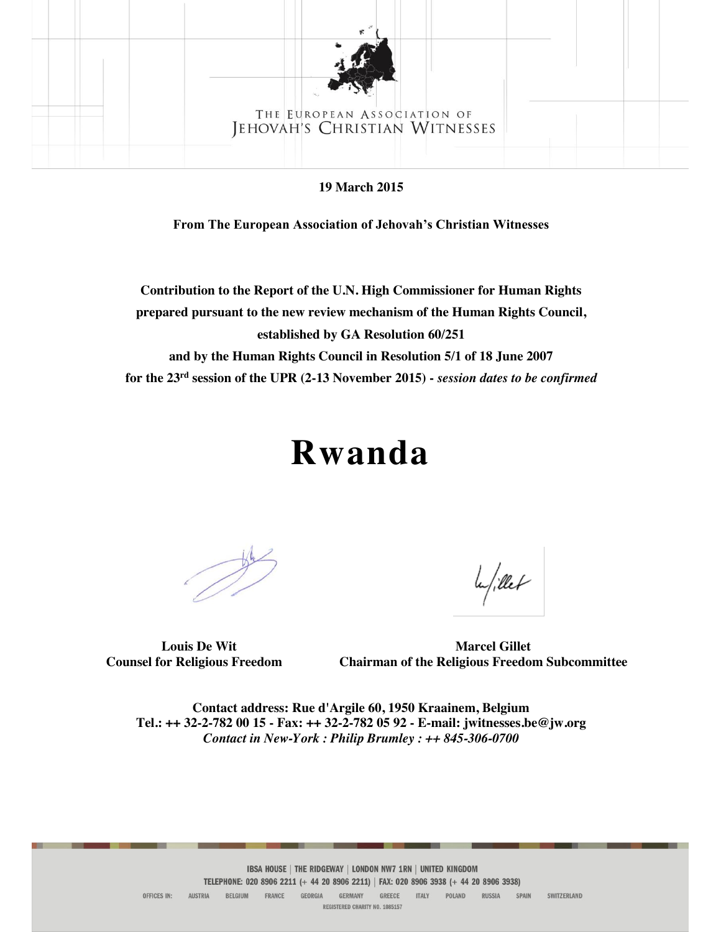

**19 March 2015**

**From The European Association of Jehovah's Christian Witnesses**

**Contribution to the Report of the U.N. High Commissioner for Human Rights prepared pursuant to the new review mechanism of the Human Rights Council, established by GA Resolution 60/251 and by the Human Rights Council in Resolution 5/1 of 18 June 2007**

**for the 23rd session of the UPR (2-13 November 2015) -** *session dates to be confirmed*

# **Rwanda**

la/illet

 **Louis De Wit Marcel Gillet Counsel for Religious Freedom Chairman of the Religious Freedom Subcommittee**

**Contact address: Rue d'Argile 60, 1950 Kraainem, Belgium Tel.: ++ 32-2-782 00 15 - Fax: ++ 32-2-782 05 92 - E-mail: jwitnesses.be@jw.org** *Contact in New-York : Philip Brumley : ++ 845-306-0700*

REGISTERED CHARITY NO. 1085157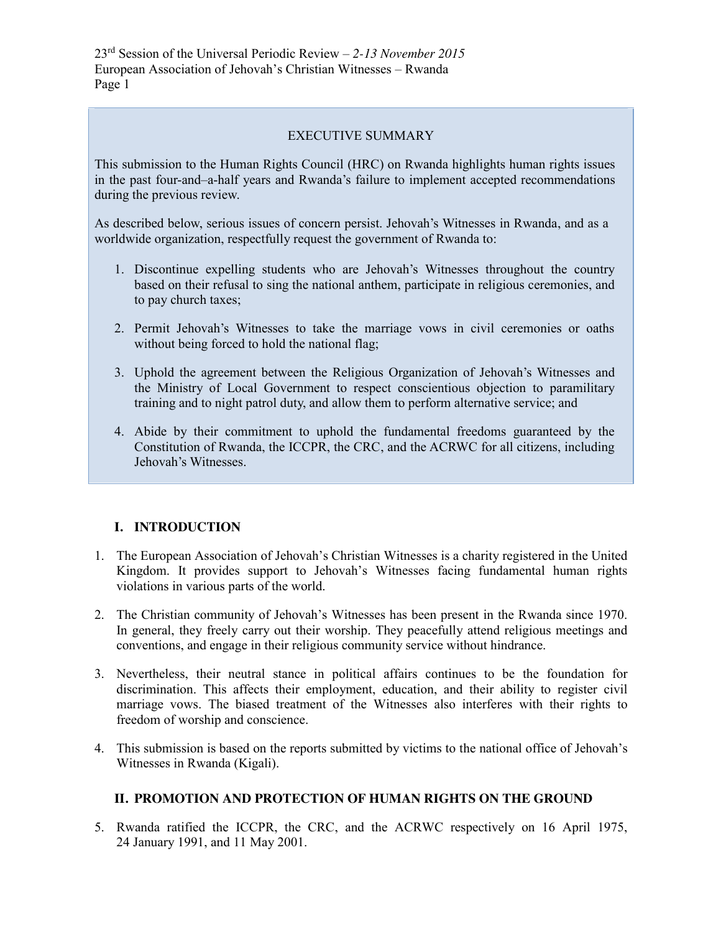# EXECUTIVE SUMMARY

This submission to the Human Rights Council (HRC) on Rwanda highlights human rights issues in the past four-and–a-half years and Rwanda's failure to implement accepted recommendations during the previous review.

As described below, serious issues of concern persist. Jehovah's Witnesses in Rwanda, and as a worldwide organization, respectfully request the government of Rwanda to:

- 1. Discontinue expelling students who are Jehovah's Witnesses throughout the country based on their refusal to sing the national anthem, participate in religious ceremonies, and to pay church taxes;
- 2. Permit Jehovah's Witnesses to take the marriage vows in civil ceremonies or oaths without being forced to hold the national flag;
- 3. Uphold the agreement between the Religious Organization of Jehovah's Witnesses and the Ministry of Local Government to respect conscientious objection to paramilitary training and to night patrol duty, and allow them to perform alternative service; and
- 4. Abide by their commitment to uphold the fundamental freedoms guaranteed by the Constitution of Rwanda, the ICCPR, the CRC, and the ACRWC for all citizens, including Jehovah's Witnesses.

# **I. INTRODUCTION**

- 1. The European Association of Jehovah's Christian Witnesses is a charity registered in the United Kingdom. It provides support to Jehovah's Witnesses facing fundamental human rights violations in various parts of the world.
- 2. The Christian community of Jehovah's Witnesses has been present in the Rwanda since 1970. In general, they freely carry out their worship. They peacefully attend religious meetings and conventions, and engage in their religious community service without hindrance.
- 3. Nevertheless, their neutral stance in political affairs continues to be the foundation for discrimination. This affects their employment, education, and their ability to register civil marriage vows. The biased treatment of the Witnesses also interferes with their rights to freedom of worship and conscience.
- 4. This submission is based on the reports submitted by victims to the national office of Jehovah's Witnesses in Rwanda (Kigali).

#### **II. PROMOTION AND PROTECTION OF HUMAN RIGHTS ON THE GROUND**

5. Rwanda ratified the ICCPR, the CRC, and the ACRWC respectively on 16 April 1975, 24 January 1991, and 11 May 2001.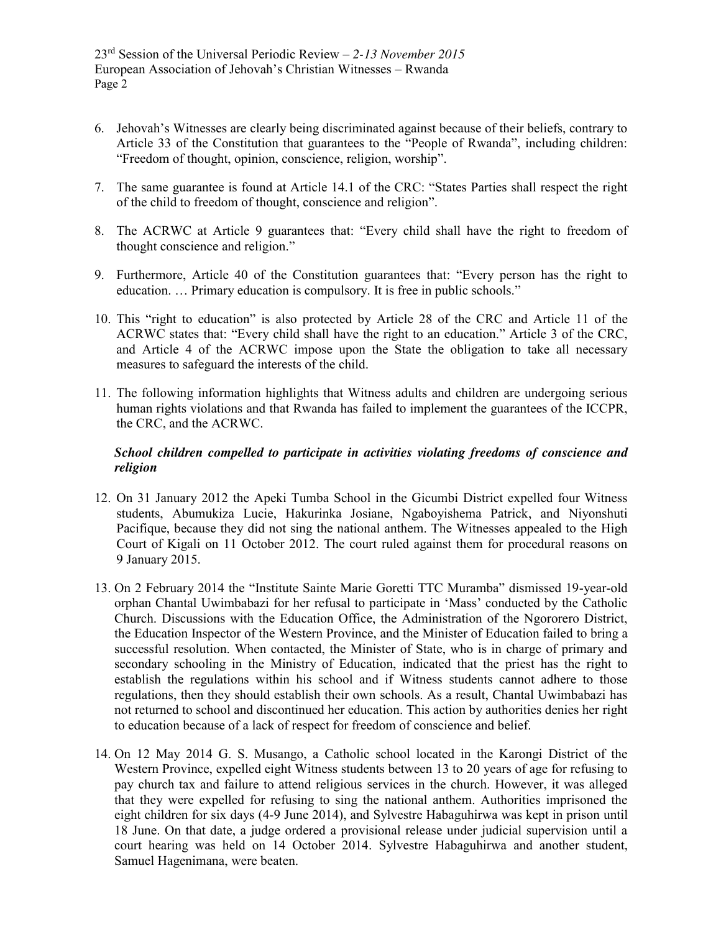- 6. Jehovah's Witnesses are clearly being discriminated against because of their beliefs, contrary to Article 33 of the Constitution that guarantees to the "People of Rwanda", including children: "Freedom of thought, opinion, conscience, religion, worship".
- 7. The same guarantee is found at Article 14.1 of the CRC: "States Parties shall respect the right of the child to freedom of thought, conscience and religion".
- 8. The ACRWC at Article 9 guarantees that: "Every child shall have the right to freedom of thought conscience and religion."
- 9. Furthermore, Article 40 of the Constitution guarantees that: "Every person has the right to education. … Primary education is compulsory. It is free in public schools."
- 10. This "right to education" is also protected by Article 28 of the CRC and Article 11 of the ACRWC states that: "Every child shall have the right to an education." Article 3 of the CRC, and Article 4 of the ACRWC impose upon the State the obligation to take all necessary measures to safeguard the interests of the child.
- 11. The following information highlights that Witness adults and children are undergoing serious human rights violations and that Rwanda has failed to implement the guarantees of the ICCPR, the CRC, and the ACRWC.

## *School children compelled to participate in activities violating freedoms of conscience and religion*

- 12. On 31 January 2012 the Apeki Tumba School in the Gicumbi District expelled four Witness students, Abumukiza Lucie, Hakurinka Josiane, Ngaboyishema Patrick, and Niyonshuti Pacifique, because they did not sing the national anthem. The Witnesses appealed to the High Court of Kigali on 11 October 2012. The court ruled against them for procedural reasons on 9 January 2015.
- 13. On 2 February 2014 the "Institute Sainte Marie Goretti TTC Muramba" dismissed 19-year-old orphan Chantal Uwimbabazi for her refusal to participate in 'Mass' conducted by the Catholic Church. Discussions with the Education Office, the Administration of the Ngororero District, the Education Inspector of the Western Province, and the Minister of Education failed to bring a successful resolution. When contacted, the Minister of State, who is in charge of primary and secondary schooling in the Ministry of Education, indicated that the priest has the right to establish the regulations within his school and if Witness students cannot adhere to those regulations, then they should establish their own schools. As a result, Chantal Uwimbabazi has not returned to school and discontinued her education. This action by authorities denies her right to education because of a lack of respect for freedom of conscience and belief.
- 14. On 12 May 2014 G. S. Musango, a Catholic school located in the Karongi District of the Western Province, expelled eight Witness students between 13 to 20 years of age for refusing to pay church tax and failure to attend religious services in the church. However, it was alleged that they were expelled for refusing to sing the national anthem. Authorities imprisoned the eight children for six days (4-9 June 2014), and Sylvestre Habaguhirwa was kept in prison until 18 June. On that date, a judge ordered a provisional release under judicial supervision until a court hearing was held on 14 October 2014. Sylvestre Habaguhirwa and another student, Samuel Hagenimana, were beaten.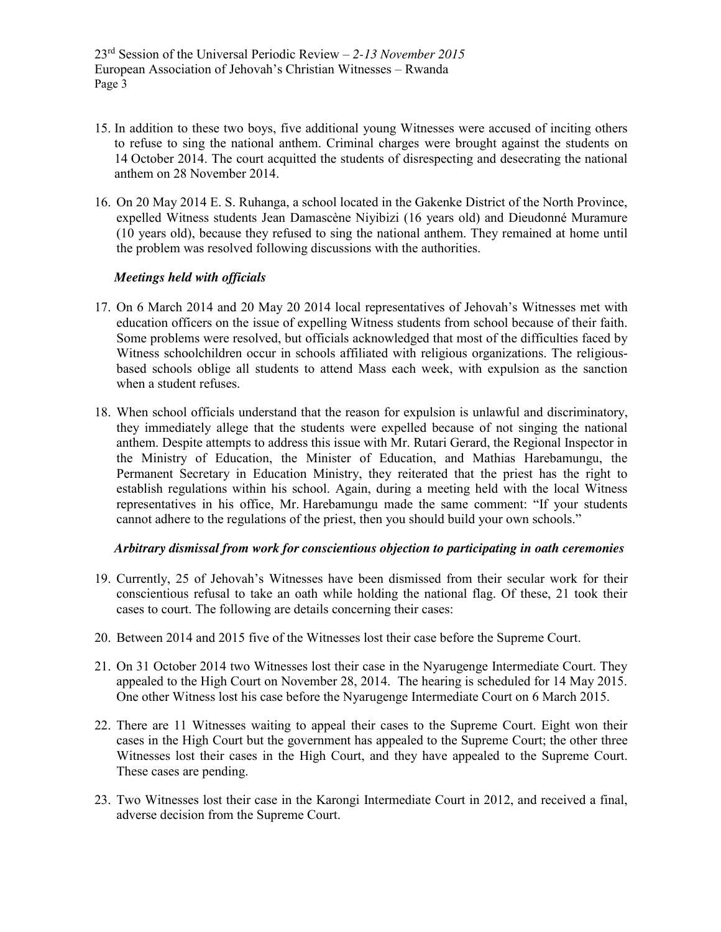- 15. In addition to these two boys, five additional young Witnesses were accused of inciting others to refuse to sing the national anthem. Criminal charges were brought against the students on 14 October 2014. The court acquitted the students of disrespecting and desecrating the national anthem on 28 November 2014.
- 16. On 20 May 2014 E. S. Ruhanga, a school located in the Gakenke District of the North Province, expelled Witness students Jean Damascène Niyibizi (16 years old) and Dieudonné Muramure (10 years old), because they refused to sing the national anthem. They remained at home until the problem was resolved following discussions with the authorities.

## *Meetings held with officials*

- 17. On 6 March 2014 and 20 May 20 2014 local representatives of Jehovah's Witnesses met with education officers on the issue of expelling Witness students from school because of their faith. Some problems were resolved, but officials acknowledged that most of the difficulties faced by Witness schoolchildren occur in schools affiliated with religious organizations. The religiousbased schools oblige all students to attend Mass each week, with expulsion as the sanction when a student refuses.
- 18. When school officials understand that the reason for expulsion is unlawful and discriminatory, they immediately allege that the students were expelled because of not singing the national anthem. Despite attempts to address this issue with Mr. Rutari Gerard, the Regional Inspector in the Ministry of Education, the Minister of Education, and Mathias Harebamungu, the Permanent Secretary in Education Ministry, they reiterated that the priest has the right to establish regulations within his school. Again, during a meeting held with the local Witness representatives in his office, Mr. Harebamungu made the same comment: "If your students cannot adhere to the regulations of the priest, then you should build your own schools."

#### *Arbitrary dismissal from work for conscientious objection to participating in oath ceremonies*

- 19. Currently, 25 of Jehovah's Witnesses have been dismissed from their secular work for their conscientious refusal to take an oath while holding the national flag. Of these, 21 took their cases to court. The following are details concerning their cases:
- 20. Between 2014 and 2015 five of the Witnesses lost their case before the Supreme Court.
- 21. On 31 October 2014 two Witnesses lost their case in the Nyarugenge Intermediate Court. They appealed to the High Court on November 28, 2014. The hearing is scheduled for 14 May 2015. One other Witness lost his case before the Nyarugenge Intermediate Court on 6 March 2015.
- 22. There are 11 Witnesses waiting to appeal their cases to the Supreme Court. Eight won their cases in the High Court but the government has appealed to the Supreme Court; the other three Witnesses lost their cases in the High Court, and they have appealed to the Supreme Court. These cases are pending.
- 23. Two Witnesses lost their case in the Karongi Intermediate Court in 2012, and received a final, adverse decision from the Supreme Court.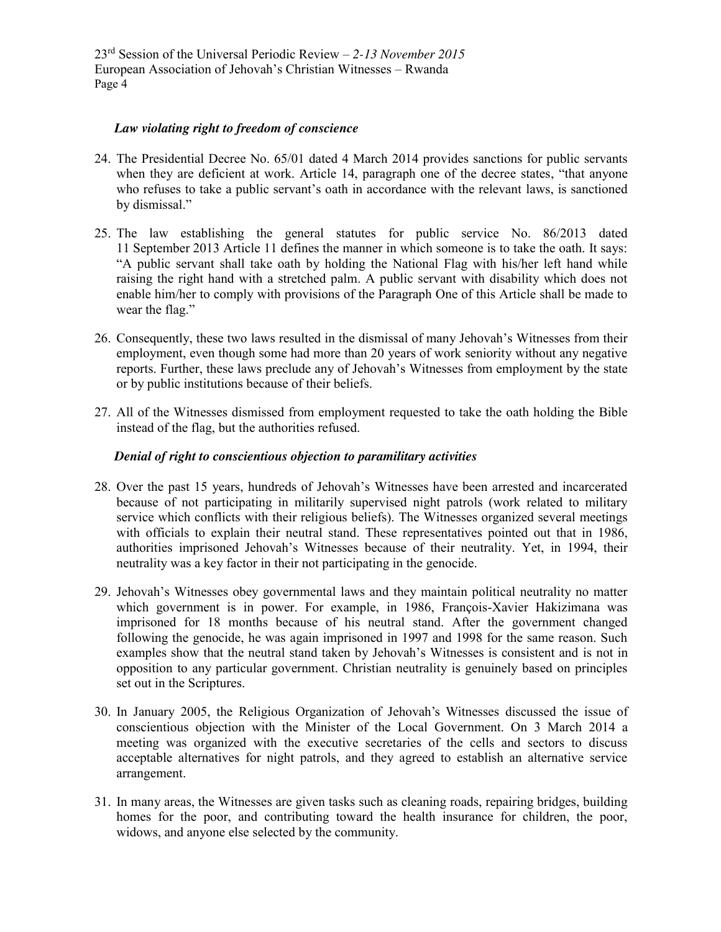#### *Law violating right to freedom of conscience*

- 24. The Presidential Decree No. 65/01 dated 4 March 2014 provides sanctions for public servants when they are deficient at work. Article 14, paragraph one of the decree states, "that anyone who refuses to take a public servant's oath in accordance with the relevant laws, is sanctioned by dismissal."
- 25. The law establishing the general statutes for public service No. 86/2013 dated 11 September 2013 Article 11 defines the manner in which someone is to take the oath. It says: "A public servant shall take oath by holding the National Flag with his/her left hand while raising the right hand with a stretched palm. A public servant with disability which does not enable him/her to comply with provisions of the Paragraph One of this Article shall be made to wear the flag."
- 26. Consequently, these two laws resulted in the dismissal of many Jehovah's Witnesses from their employment, even though some had more than 20 years of work seniority without any negative reports. Further, these laws preclude any of Jehovah's Witnesses from employment by the state or by public institutions because of their beliefs.
- 27. All of the Witnesses dismissed from employment requested to take the oath holding the Bible instead of the flag, but the authorities refused.

## *Denial of right to conscientious objection to paramilitary activities*

- 28. Over the past 15 years, hundreds of Jehovah's Witnesses have been arrested and incarcerated because of not participating in militarily supervised night patrols (work related to military service which conflicts with their religious beliefs). The Witnesses organized several meetings with officials to explain their neutral stand. These representatives pointed out that in 1986, authorities imprisoned Jehovah's Witnesses because of their neutrality. Yet, in 1994, their neutrality was a key factor in their not participating in the genocide.
- 29. Jehovah's Witnesses obey governmental laws and they maintain political neutrality no matter which government is in power. For example, in 1986, François-Xavier Hakizimana was imprisoned for 18 months because of his neutral stand. After the government changed following the genocide, he was again imprisoned in 1997 and 1998 for the same reason. Such examples show that the neutral stand taken by Jehovah's Witnesses is consistent and is not in opposition to any particular government. Christian neutrality is genuinely based on principles set out in the Scriptures.
- 30. In January 2005, the Religious Organization of Jehovah's Witnesses discussed the issue of conscientious objection with the Minister of the Local Government. On 3 March 2014 a meeting was organized with the executive secretaries of the cells and sectors to discuss acceptable alternatives for night patrols, and they agreed to establish an alternative service arrangement.
- 31. In many areas, the Witnesses are given tasks such as cleaning roads, repairing bridges, building homes for the poor, and contributing toward the health insurance for children, the poor, widows, and anyone else selected by the community.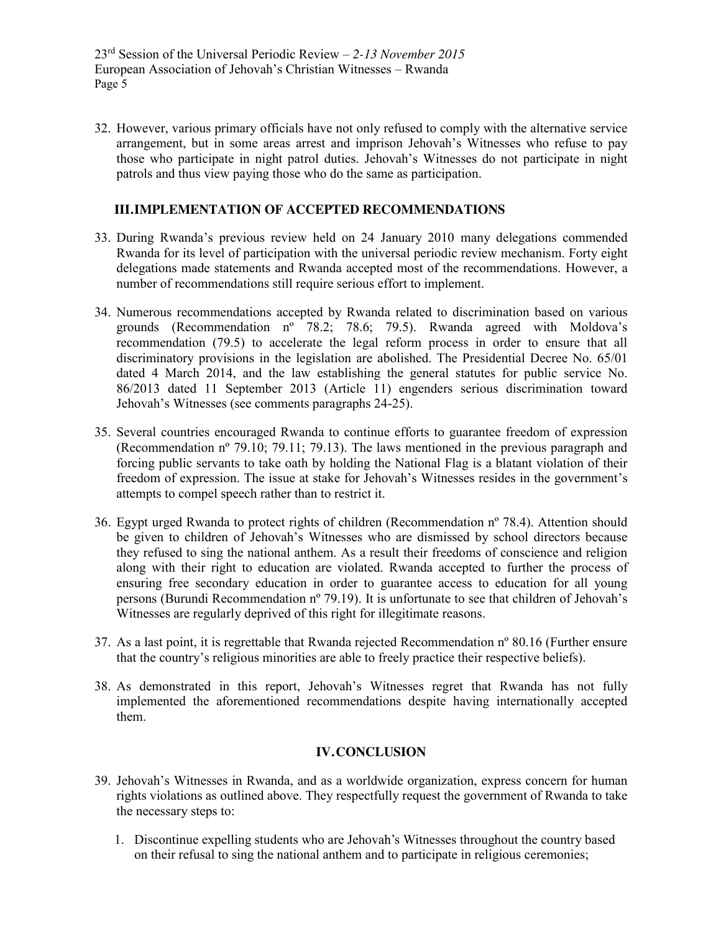32. However, various primary officials have not only refused to comply with the alternative service arrangement, but in some areas arrest and imprison Jehovah's Witnesses who refuse to pay those who participate in night patrol duties. Jehovah's Witnesses do not participate in night patrols and thus view paying those who do the same as participation.

## **III.IMPLEMENTATION OF ACCEPTED RECOMMENDATIONS**

- 33. During Rwanda's previous review held on 24 January 2010 many delegations commended Rwanda for its level of participation with the universal periodic review mechanism. Forty eight delegations made statements and Rwanda accepted most of the recommendations. However, a number of recommendations still require serious effort to implement.
- 34. Numerous recommendations accepted by Rwanda related to discrimination based on various grounds (Recommendation nº 78.2; 78.6; 79.5). Rwanda agreed with Moldova's recommendation (79.5) to accelerate the legal reform process in order to ensure that all discriminatory provisions in the legislation are abolished. The Presidential Decree No. 65/01 dated 4 March 2014, and the law establishing the general statutes for public service No. 86/2013 dated 11 September 2013 (Article 11) engenders serious discrimination toward Jehovah's Witnesses (see comments paragraphs 24-25).
- 35. Several countries encouraged Rwanda to continue efforts to guarantee freedom of expression (Recommendation nº 79.10; 79.11; 79.13). The laws mentioned in the previous paragraph and forcing public servants to take oath by holding the National Flag is a blatant violation of their freedom of expression. The issue at stake for Jehovah's Witnesses resides in the government's attempts to compel speech rather than to restrict it.
- 36. Egypt urged Rwanda to protect rights of children (Recommendation nº 78.4). Attention should be given to children of Jehovah's Witnesses who are dismissed by school directors because they refused to sing the national anthem. As a result their freedoms of conscience and religion along with their right to education are violated. Rwanda accepted to further the process of ensuring free secondary education in order to guarantee access to education for all young persons (Burundi Recommendation nº 79.19). It is unfortunate to see that children of Jehovah's Witnesses are regularly deprived of this right for illegitimate reasons.
- 37. As a last point, it is regrettable that Rwanda rejected Recommendation nº 80.16 (Further ensure that the country's religious minorities are able to freely practice their respective beliefs).
- 38. As demonstrated in this report, Jehovah's Witnesses regret that Rwanda has not fully implemented the aforementioned recommendations despite having internationally accepted them.

#### **IV.CONCLUSION**

- 39. Jehovah's Witnesses in Rwanda, and as a worldwide organization, express concern for human rights violations as outlined above. They respectfully request the government of Rwanda to take the necessary steps to:
	- 1. Discontinue expelling students who are Jehovah's Witnesses throughout the country based on their refusal to sing the national anthem and to participate in religious ceremonies;